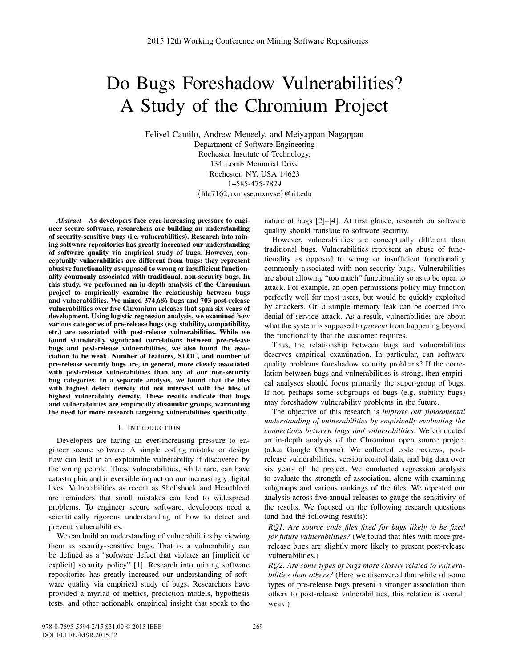# Do Bugs Foreshadow Vulnerabilities? A Study of the Chromium Project

Felivel Camilo, Andrew Meneely, and Meiyappan Nagappan Department of Software Engineering Rochester Institute of Technology, 134 Lomb Memorial Drive Rochester, NY, USA 14623 1+585-475-7829 {fdc7162,axmvse,mxnvse}@rit.edu

*Abstract*—As developers face ever-increasing pressure to engineer secure software, researchers are building an understanding of security-sensitive bugs (i.e. vulnerabilities). Research into mining software repositories has greatly increased our understanding of software quality via empirical study of bugs. However, conceptually vulnerabilities are different from bugs: they represent abusive functionality as opposed to wrong or insufficient functionality commonly associated with traditional, non-security bugs. In this study, we performed an in-depth analysis of the Chromium project to empirically examine the relationship between bugs and vulnerabilities. We mined 374,686 bugs and 703 post-release vulnerabilities over five Chromium releases that span six years of development. Using logistic regression analysis, we examined how various categories of pre-release bugs (e.g. stability, compatibility, etc.) are associated with post-release vulnerabilities. While we found statistically significant correlations between pre-release bugs and post-release vulnerabilities, we also found the association to be weak. Number of features, SLOC, and number of pre-release security bugs are, in general, more closely associated with post-release vulnerabilities than any of our non-security bug categories. In a separate analysis, we found that the files with highest defect density did not intersect with the files of highest vulnerability density. These results indicate that bugs and vulnerabilities are empirically dissimilar groups, warranting the need for more research targeting vulnerabilities specifically.

#### I. INTRODUCTION

Developers are facing an ever-increasing pressure to engineer secure software. A simple coding mistake or design flaw can lead to an exploitable vulnerability if discovered by the wrong people. These vulnerabilities, while rare, can have catastrophic and irreversible impact on our increasingly digital lives. Vulnerabilities as recent as Shellshock and Heartbleed are reminders that small mistakes can lead to widespread problems. To engineer secure software, developers need a scientifically rigorous understanding of how to detect and prevent vulnerabilities.

We can build an understanding of vulnerabilities by viewing them as security-sensitive bugs. That is, a vulnerability can be defined as a "software defect that violates an [implicit or explicit] security policy" [1]. Research into mining software repositories has greatly increased our understanding of software quality via empirical study of bugs. Researchers have provided a myriad of metrics, prediction models, hypothesis tests, and other actionable empirical insight that speak to the nature of bugs [2]–[4]. At first glance, research on software quality should translate to software security.

However, vulnerabilities are conceptually different than traditional bugs. Vulnerabilities represent an abuse of functionality as opposed to wrong or insufficient functionality commonly associated with non-security bugs. Vulnerabilities are about allowing "too much" functionality so as to be open to attack. For example, an open permissions policy may function perfectly well for most users, but would be quickly exploited by attackers. Or, a simple memory leak can be coerced into denial-of-service attack. As a result, vulnerabilities are about what the system is supposed to *prevent* from happening beyond the functionality that the customer requires.

Thus, the relationship between bugs and vulnerabilities deserves empirical examination. In particular, can software quality problems foreshadow security problems? If the correlation between bugs and vulnerabilities is strong, then empirical analyses should focus primarily the super-group of bugs. If not, perhaps some subgroups of bugs (e.g. stability bugs) may foreshadow vulnerability problems in the future.

The objective of this research is *improve our fundamental understanding of vulnerabilities by empirically evaluating the connections between bugs and vulnerabilities*. We conducted an in-depth analysis of the Chromium open source project (a.k.a Google Chrome). We collected code reviews, postrelease vulnerabilities, version control data, and bug data over six years of the project. We conducted regression analysis to evaluate the strength of association, along with examining subgroups and various rankings of the files. We repeated our analysis across five annual releases to gauge the sensitivity of the results. We focused on the following research questions (and had the following results):

*RQ1. Are source code files fixed for bugs likely to be fixed for future vulnerabilities?* (We found that files with more prerelease bugs are slightly more likely to present post-release vulnerabilities.)

*RQ2. Are some types of bugs more closely related to vulnerabilities than others?* (Here we discovered that while of some types of pre-release bugs present a stronger association than others to post-release vulnerabilities, this relation is overall weak.)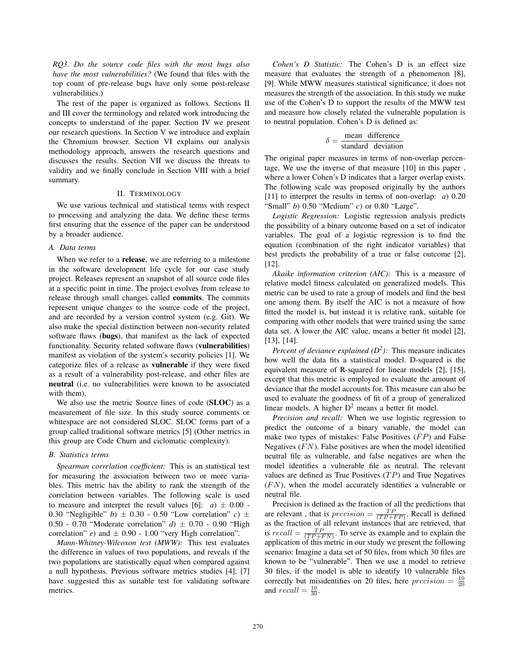*RQ3. Do the source code files with the most bugs also have the most vulnerabilities?* (We found that files with the top count of pre-release bugs have only some post-release vulnerabilities.)

The rest of the paper is organized as follows. Sections II and III cover the terminology and related work introducing the concepts to understand of the paper. Section IV we present our research questions. In Section V we introduce and explain the Chromium browser. Section VI explains our analysis methodology approach, answers the research questions and discusses the results. Section VII we discuss the threats to validity and we finally conclude in Section VIII with a brief summary.

## II. TERMINOLOGY

We use various technical and statistical terms with respect to processing and analyzing the data. We define these terms first ensuring that the essence of the paper can be understood by a broader audience.

#### *A. Data terms*

When we refer to a **release**, we are referring to a milestone in the software development life cycle for our case study project. Releases represent an snapshot of all source code files at a specific point in time. The project evolves from release to release through small changes called commits. The commits represent unique changes to the source code of the project, and are recorded by a version control system (e.g. Git). We also make the special distinction between non-security related software flaws (bugs), that manifest as the lack of expected functionality. Security related software flaws (vulnerabilities) manifest as violation of the system's security policies [1]. We categorize files of a release as vulnerable if they were fixed as a result of a vulnerability post-release, and other files are neutral (i.e. no vulnerabilities were known to be associated with them).

We also use the metric Source lines of code (SLOC) as a measurement of file size. In this study source comments or whitespace are not considered SLOC. SLOC forms part of a group called traditional software metrics [5] (Other metrics in this group are Code Churn and ciclomatic complexity).

#### *B. Statistics terms*

*Spearman correlation coefficient:* This is an statistical test for measuring the association between two or more variables. This metric has the ability to rank the strength of the correlation between variables. The following scale is used to measure and interpret the result values [6]:  $a) \pm 0.00$ 0.30 "Negligible" *b*)  $\pm$  0.30 - 0.50 "Low correlation" *c*)  $\pm$ 0.50 - 0.70 "Moderate correlation" *d*) ± 0.70 - 0.90 "High correlation"  $e$ ) and  $\pm$  0.90 - 1.00 "very High correlation".

*Mann-Whitney-Wilcoxon test (MWW):* This test evaluates the difference in values of two populations, and reveals if the two populations are statistically equal when compared against a null hypothesis. Previous software metrics studies [4], [7] have suggested this as suitable test for validating software metrics.

*Cohen's D Statistic:* The Cohen's D is an effect size measure that evaluates the strength of a phenomenon [8], [9]. While MWW measures statistical significance, it does not measures the strength of the association. In this study we make use of the Cohen's D to support the results of the MWW test and measure how closely related the vulnerable population is to neutral population. Cohen's D is defined as:

## $\delta = \frac{\text{mean}}{\text{standard}}$  deviation

The original paper measures in terms of non-overlap percentage, We use the inverse of that measure [10] in this paper , where a lower Cohen's D indicates that a larger overlap exists. The following scale was proposed originally by the authors [11] to interpret the results in terms of non-overlap: *a*) 0.20 "Small" *b*) 0.50 "Medium" *c*) or 0.80 "Large".

*Logistic Regression:* Logistic regression analysis predicts the possibility of a binary outcome based on a set of indicator variables. The goal of a logistic regression is to find the equation (combination of the right indicator variables) that best predicts the probability of a true or false outcome [2], [12].

*Akaike information criterion (AIC):* This is a measure of relative model fitness calculated on generalized models. This metric can be used to rate a group of models and find the best one among them. By itself the AIC is not a measure of how fitted the model is, but instead it is relative rank, suitable for comparing with other models that were trained using the same data set. A lower the AIC value, means a better fit model [2], [13], [14].

*Percent of deviance explained*  $(D^2)$ : This measure indicates how well the data fits a statistical model. D-squared is the equivalent measure of R-squared for linear models [2], [15], except that this metric is employed to evaluate the amount of deviance that the model accounts for. This measure can also be used to evaluate the goodness of fit of a group of generalized linear models. A higher  $D^2$  means a better fit model.

*Precision and recall:* When we use logistic regression to predict the outcome of a binary variable, the model can make two types of mistakes: False Positives  $(FP)$  and False Negatives  $(FN)$ . False positives are when the model identified neutral file as vulnerable, and false negatives are when the model identifies a vulnerable file as neutral. The relevant values are defined as True Positives  $(TP)$  and True Negatives  $(FN)$ , when the model accurately identifies a vulnerable or neutral file.

Precision is defined as the fraction of all the predictions that are relevant, that is  $precision = \frac{TP}{(TP + FP)}$ . Recall is defined as the fraction of all relevant instances that are retrieved, that is  $recall = \frac{TP}{(TP + FN)}$ . To serve as example and to explain the application of this metric in our study we present the following scenario: Imagine a data set of 50 files, from which 30 files are known to be "vulnerable". Then we use a model to retrieve 30 files, if the model is able to identify 10 vulnerable files correctly but misidentifies on 20 files, here  $precision = \frac{10}{20}$ and  $recall = \frac{10}{30}$ .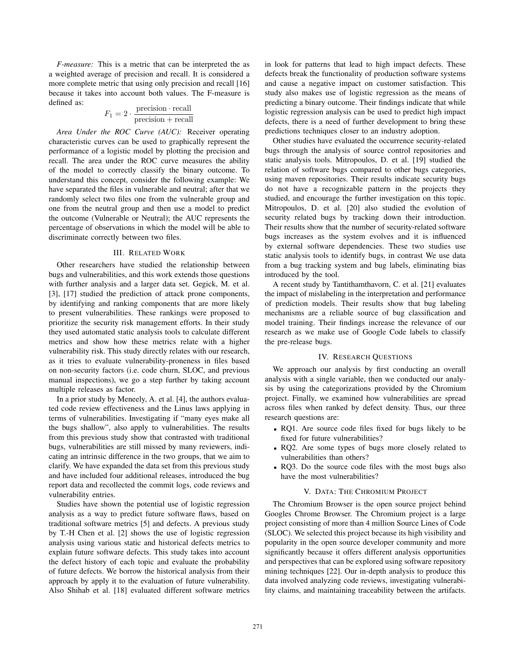*F-measure:* This is a metric that can be interpreted the as a weighted average of precision and recall. It is considered a more complete metric that using only precision and recall [16] because it takes into account both values. The F-measure is defined as:

$$
F_1 = 2 \cdot \frac{\text{precision} \cdot \text{recall}}{\text{precision} + \text{recall}}
$$

*Area Under the ROC Curve (AUC):* Receiver operating characteristic curves can be used to graphically represent the performance of a logistic model by plotting the precision and recall. The area under the ROC curve measures the ability of the model to correctly classify the binary outcome. To understand this concept, consider the following example: We have separated the files in vulnerable and neutral; after that we randomly select two files one from the vulnerable group and one from the neutral group and then use a model to predict the outcome (Vulnerable or Neutral); the AUC represents the percentage of observations in which the model will be able to discriminate correctly between two files.

#### III. RELATED WORK

Other researchers have studied the relationship between bugs and vulnerabilities, and this work extends those questions with further analysis and a larger data set. Gegick, M. et al. [3], [17] studied the prediction of attack prone components, by identifying and ranking components that are more likely to present vulnerabilities. These rankings were proposed to prioritize the security risk management efforts. In their study they used automated static analysis tools to calculate different metrics and show how these metrics relate with a higher vulnerability risk. This study directly relates with our research, as it tries to evaluate vulnerability-proneness in files based on non-security factors (i.e. code churn, SLOC, and previous manual inspections), we go a step further by taking account multiple releases as factor.

In a prior study by Meneely, A. et al. [4], the authors evaluated code review effectiveness and the Linus laws applying in terms of vulnerabilities. Investigating if "many eyes make all the bugs shallow", also apply to vulnerabilities. The results from this previous study show that contrasted with traditional bugs, vulnerabilities are still missed by many reviewers, indicating an intrinsic difference in the two groups, that we aim to clarify. We have expanded the data set from this previous study and have included four additional releases, introduced the bug report data and recollected the commit logs, code reviews and vulnerability entries.

Studies have shown the potential use of logistic regression analysis as a way to predict future software flaws, based on traditional software metrics [5] and defects. A previous study by T.-H Chen et al. [2] shows the use of logistic regression analysis using various static and historical defects metrics to explain future software defects. This study takes into account the defect history of each topic and evaluate the probability of future defects. We borrow the historical analysis from their approach by apply it to the evaluation of future vulnerability. Also Shihab et al. [18] evaluated different software metrics in look for patterns that lead to high impact defects. These defects break the functionality of production software systems and cause a negative impact on customer satisfaction. This study also makes use of logistic regression as the means of predicting a binary outcome. Their findings indicate that while logistic regression analysis can be used to predict high impact defects, there is a need of further development to bring these predictions techniques closer to an industry adoption.

Other studies have evaluated the occurrence security-related bugs through the analysis of source control repositories and static analysis tools. Mitropoulos, D. et al. [19] studied the relation of software bugs compared to other bugs categories, using maven repositories. Their results indicate security bugs do not have a recognizable pattern in the projects they studied, and encourage the further investigation on this topic. Mitropoulos, D. et al. [20] also studied the evolution of security related bugs by tracking down their introduction. Their results show that the number of security-related software bugs increases as the system evolves and it is influenced by external software dependencies. These two studies use static analysis tools to identify bugs, in contrast We use data from a bug tracking system and bug labels, eliminating bias introduced by the tool.

A recent study by Tantithamthavorn, C. et al. [21] evaluates the impact of mislabeling in the interpretation and performance of prediction models. Their results show that bug labeling mechanisms are a reliable source of bug classification and model training. Their findings increase the relevance of our research as we make use of Google Code labels to classify the pre-release bugs.

#### IV. RESEARCH QUESTIONS

We approach our analysis by first conducting an overall analysis with a single variable, then we conducted our analysis by using the categorizations provided by the Chromium project. Finally, we examined how vulnerabilities are spread across files when ranked by defect density. Thus, our three research questions are:

- RQ1. Are source code files fixed for bugs likely to be fixed for future vulnerabilities?
- RQ2. Are some types of bugs more closely related to vulnerabilities than others?
- RQ3. Do the source code files with the most bugs also have the most vulnerabilities?

### V. DATA: THE CHROMIUM PROJECT

The Chromium Browser is the open source project behind Googles Chrome Browser. The Chromium project is a large project consisting of more than 4 million Source Lines of Code (SLOC). We selected this project because its high visibility and popularity in the open source developer community and more significantly because it offers different analysis opportunities and perspectives that can be explored using software repository mining techniques [22]. Our in-depth analysis to produce this data involved analyzing code reviews, investigating vulnerability claims, and maintaining traceability between the artifacts.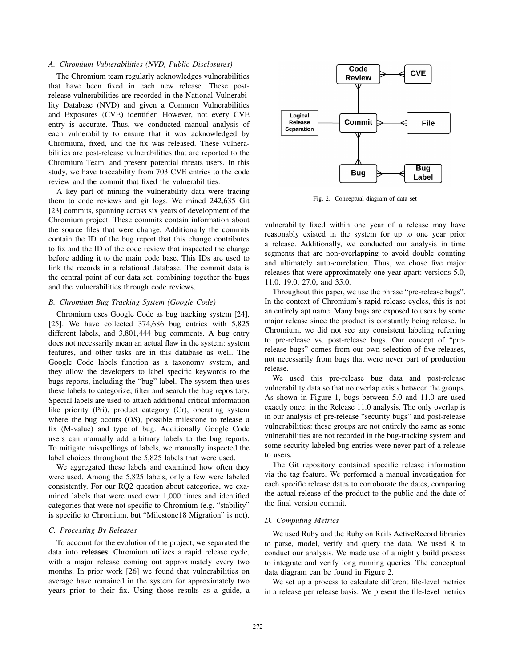## *A. Chromium Vulnerabilities (NVD, Public Disclosures)*

The Chromium team regularly acknowledges vulnerabilities that have been fixed in each new release. These postrelease vulnerabilities are recorded in the National Vulnerability Database (NVD) and given a Common Vulnerabilities and Exposures (CVE) identifier. However, not every CVE entry is accurate. Thus, we conducted manual analysis of each vulnerability to ensure that it was acknowledged by Chromium, fixed, and the fix was released. These vulnerabilities are post-release vulnerabilities that are reported to the Chromium Team, and present potential threats users. In this study, we have traceability from 703 CVE entries to the code review and the commit that fixed the vulnerabilities.

A key part of mining the vulnerability data were tracing them to code reviews and git logs. We mined 242,635 Git [23] commits, spanning across six years of development of the Chromium project. These commits contain information about the source files that were change. Additionally the commits contain the ID of the bug report that this change contributes to fix and the ID of the code review that inspected the change before adding it to the main code base. This IDs are used to link the records in a relational database. The commit data is the central point of our data set, combining together the bugs and the vulnerabilities through code reviews.

#### *B. Chromium Bug Tracking System (Google Code)*

Chromium uses Google Code as bug tracking system [24], [25]. We have collected 374,686 bug entries with 5,825 different labels, and 3,801,444 bug comments. A bug entry does not necessarily mean an actual flaw in the system: system features, and other tasks are in this database as well. The Google Code labels function as a taxonomy system, and they allow the developers to label specific keywords to the bugs reports, including the "bug" label. The system then uses these labels to categorize, filter and search the bug repository. Special labels are used to attach additional critical information like priority (Pri), product category (Cr), operating system where the bug occurs (OS), possible milestone to release a fix (M-value) and type of bug. Additionally Google Code users can manually add arbitrary labels to the bug reports. To mitigate misspellings of labels, we manually inspected the label choices throughout the 5,825 labels that were used.

We aggregated these labels and examined how often they were used. Among the 5,825 labels, only a few were labeled consistently. For our RQ2 question about categories, we examined labels that were used over 1,000 times and identified categories that were not specific to Chromium (e.g. "stability" is specific to Chromium, but "Milestone18 Migration" is not).

#### *C. Processing By Releases*

To account for the evolution of the project, we separated the data into releases. Chromium utilizes a rapid release cycle, with a major release coming out approximately every two months. In prior work [26] we found that vulnerabilities on average have remained in the system for approximately two years prior to their fix. Using those results as a guide, a



Fig. 2. Conceptual diagram of data set

vulnerability fixed within one year of a release may have reasonably existed in the system for up to one year prior a release. Additionally, we conducted our analysis in time segments that are non-overlapping to avoid double counting and ultimately auto-correlation. Thus, we chose five major releases that were approximately one year apart: versions 5.0, 11.0, 19.0, 27.0, and 35.0.

Throughout this paper, we use the phrase "pre-release bugs". In the context of Chromium's rapid release cycles, this is not an entirely apt name. Many bugs are exposed to users by some major release since the product is constantly being release. In Chromium, we did not see any consistent labeling referring to pre-release vs. post-release bugs. Our concept of "prerelease bugs" comes from our own selection of five releases, not necessarily from bugs that were never part of production release.

We used this pre-release bug data and post-release vulnerability data so that no overlap exists between the groups. As shown in Figure 1, bugs between 5.0 and 11.0 are used exactly once: in the Release 11.0 analysis. The only overlap is in our analysis of pre-release "security bugs" and post-release vulnerabilities: these groups are not entirely the same as some vulnerabilities are not recorded in the bug-tracking system and some security-labeled bug entries were never part of a release to users.

The Git repository contained specific release information via the tag feature. We performed a manual investigation for each specific release dates to corroborate the dates, comparing the actual release of the product to the public and the date of the final version commit.

#### *D. Computing Metrics*

We used Ruby and the Ruby on Rails ActiveRecord libraries to parse, model, verify and query the data. We used R to conduct our analysis. We made use of a nightly build process to integrate and verify long running queries. The conceptual data diagram can be found in Figure 2.

We set up a process to calculate different file-level metrics in a release per release basis. We present the file-level metrics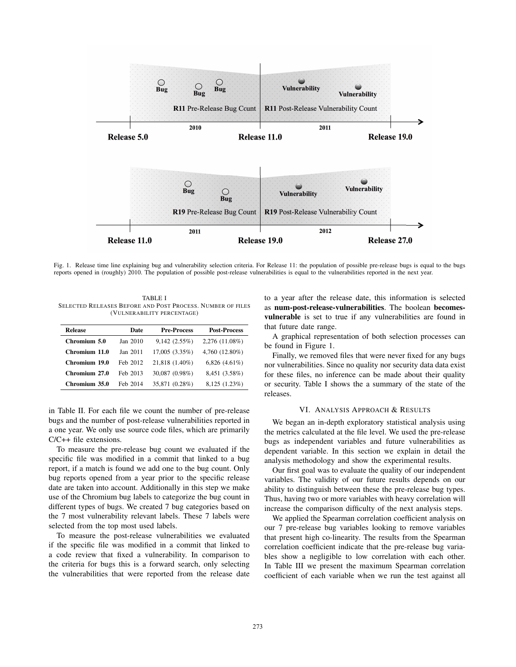

Fig. 1. Release time line explaining bug and vulnerability selection criteria. For Release 11: the population of possible pre-release bugs is equal to the bugs reports opened in (roughly) 2010. The population of possible post-release vulnerabilities is equal to the vulnerabilities reported in the next year.

TABLE I SELECTED RELEASES BEFORE AND POST PROCESS. NUMBER OF FILES (VULNERABILITY PERCENTAGE)

| <b>Release</b> | Date     | <b>Pre-Process</b> | <b>Post-Process</b> |
|----------------|----------|--------------------|---------------------|
| Chromium 5.0   | Jan 2010 | 9,142(2.55%)       | 2,276 (11.08%)      |
| Chromium 11.0  | Jan 2011 | 17,005 (3.35%)     | 4,760 (12.80%)      |
| Chromium 19.0  | Feb 2012 | 21,818 (1.40%)     | $6,826$ $(4.61\%)$  |
| Chromium 27.0  | Feb 2013 | 30,087 (0.98%)     | 8,451 (3.58%)       |
| Chromium 35.0  | Feb 2014 | 35,871 (0.28%)     | 8,125 (1.23%)       |
|                |          |                    |                     |

in Table II. For each file we count the number of pre-release bugs and the number of post-release vulnerabilities reported in a one year. We only use source code files, which are primarily C/C++ file extensions.

To measure the pre-release bug count we evaluated if the specific file was modified in a commit that linked to a bug report, if a match is found we add one to the bug count. Only bug reports opened from a year prior to the specific release date are taken into account. Additionally in this step we make use of the Chromium bug labels to categorize the bug count in different types of bugs. We created 7 bug categories based on the 7 most vulnerability relevant labels. These 7 labels were selected from the top most used labels.

To measure the post-release vulnerabilities we evaluated if the specific file was modified in a commit that linked to a code review that fixed a vulnerability. In comparison to the criteria for bugs this is a forward search, only selecting the vulnerabilities that were reported from the release date to a year after the release date, this information is selected as num-post-release-vulnerabilities. The boolean becomesvulnerable is set to true if any vulnerabilities are found in that future date range.

A graphical representation of both selection processes can be found in Figure 1.

Finally, we removed files that were never fixed for any bugs nor vulnerabilities. Since no quality nor security data data exist for these files, no inference can be made about their quality or security. Table I shows the a summary of the state of the releases.

#### VI. ANALYSIS APPROACH & RESULTS

We began an in-depth exploratory statistical analysis using the metrics calculated at the file level. We used the pre-release bugs as independent variables and future vulnerabilities as dependent variable. In this section we explain in detail the analysis methodology and show the experimental results.

Our first goal was to evaluate the quality of our independent variables. The validity of our future results depends on our ability to distinguish between these the pre-release bug types. Thus, having two or more variables with heavy correlation will increase the comparison difficulty of the next analysis steps.

We applied the Spearman correlation coefficient analysis on our 7 pre-release bug variables looking to remove variables that present high co-linearity. The results from the Spearman correlation coefficient indicate that the pre-release bug variables show a negligible to low correlation with each other. In Table III we present the maximum Spearman correlation coefficient of each variable when we run the test against all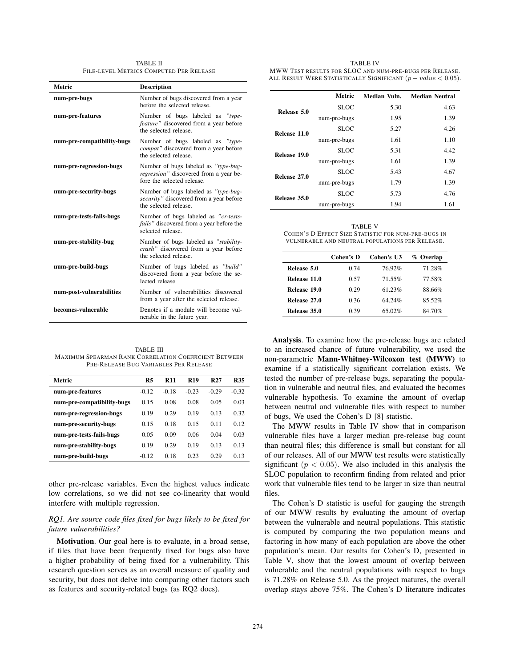TABLE II FILE-LEVEL METRICS COMPUTED PER RELEASE

| <b>Metric</b>              | <b>Description</b>                                                                                           |
|----------------------------|--------------------------------------------------------------------------------------------------------------|
| num-pre-bugs               | Number of bugs discovered from a year<br>before the selected release.                                        |
| num-pre-features           | Number of bugs labeled as "type-<br>feature" discovered from a year before<br>the selected release.          |
| num-pre-compatibility-bugs | Number of bugs labeled as "type-<br>compat" discovered from a year before<br>the selected release.           |
| num-pre-regression-bugs    | Number of bugs labeled as "type-bug-<br>regression" discovered from a year be-<br>fore the selected release. |
| num-pre-security-bugs      | Number of bugs labeled as "type-bug-<br>security" discovered from a year before<br>the selected release.     |
| num-pre-tests-fails-bugs   | Number of bugs labeled as "cr-tests-<br>fails" discovered from a year before the<br>selected release         |
| num-pre-stability-bug      | Number of bugs labeled as "stability-<br>crash" discovered from a year before<br>the selected release.       |
| num-pre-build-bugs         | Number of bugs labeled as "build"<br>discovered from a year before the se-<br>lected release                 |
| num-post-vulnerabilities   | Number of vulnerabilities discovered<br>from a year after the selected release.                              |
| becomes-vulnerable         | Denotes if a module will become vul-<br>nerable in the future year.                                          |

TABLE III MAXIMUM SPEARMAN RANK CORRELATION COEFFICIENT BETWEEN PRE-RELEASE BUG VARIABLES PER RELEASE

| Metric                     | <b>R5</b> | <b>R11</b> | <b>R19</b> | R27     | <b>R35</b> |
|----------------------------|-----------|------------|------------|---------|------------|
| num-pre-features           | $-0.12$   | $-0.18$    | $-0.23$    | $-0.29$ | $-0.32$    |
| num-pre-compatibility-bugs | 0.15      | 0.08       | 0.08       | 0.05    | 0.03       |
| num-pre-regression-bugs    | 0.19      | 0.29       | 0.19       | 0.13    | 0.32       |
| num-pre-security-bugs      | 0.15      | 0.18       | 0.15       | 011     | 012        |
| num-pre-tests-fails-bugs   | 0.05      | 0.09       | 0.06       | 0.04    | 0.03       |
| num-pre-stability-bugs     | 0.19      | 0.29       | 0.19       | 0.13    | 0.13       |
| num-pre-build-bugs         | $-0.12$   | 0.18       | 0.23       | 0.29    | 0.13       |

other pre-release variables. Even the highest values indicate low correlations, so we did not see co-linearity that would interfere with multiple regression.

## *RQ1. Are source code files fixed for bugs likely to be fixed for future vulnerabilities?*

Motivation. Our goal here is to evaluate, in a broad sense, if files that have been frequently fixed for bugs also have a higher probability of being fixed for a vulnerability. This research question serves as an overall measure of quality and security, but does not delve into comparing other factors such as features and security-related bugs (as RQ2 does).

TABLE IV MWW TEST RESULTS FOR SLOC AND NUM-PRE-BUGS PER RELEASE. ALL RESULT WERE STATISTICALLY SIGNIFICANT (*p* − *value <* 0*.*05).

|              | Metric       | Median Vuln. | <b>Median Neutral</b> |
|--------------|--------------|--------------|-----------------------|
| Release 5.0  | SLOC.        | 5.30         | 4.63                  |
|              | num-pre-bugs | 1.95         | 1.39                  |
| Release 11.0 | SLOC.        | 5.27         | 4.26                  |
|              | num-pre-bugs | 1.61         | 1.10                  |
| Release 19.0 | SLOC.        | 5.31         | 4.42                  |
|              | num-pre-bugs | 1.61         | 1.39                  |
| Release 27.0 | SLOC.        | 5.43         | 4.67                  |
|              | num-pre-bugs | 1.79         | 1.39                  |
| Release 35.0 | SLOC.        | 5.73         | 4.76                  |
|              | num-pre-bugs | 1.94         | 1.61                  |

| TABLE V                                             |
|-----------------------------------------------------|
| COHEN'S D EFFECT SIZE STATISTIC FOR NUM-PRE-BUGS IN |
| VULNERABLE AND NEUTRAL POPULATIONS PER RELEASE.     |

|              | Cohen's D | Cohen's U3 | % Overlap |
|--------------|-----------|------------|-----------|
| Release 5.0  | 0.74      | 76.92%     | 71.28%    |
| Release 11.0 | 0.57      | 71.55%     | 77.58%    |
| Release 19.0 | 0.29      | 61 23%     | 88.66%    |
| Release 27.0 | 0.36      | 64 24%     | 85.52%    |
| Release 35.0 | 0.39      | 65.02%     | 84.70%    |

Analysis. To examine how the pre-release bugs are related to an increased chance of future vulnerability, we used the non-parametric Mann-Whitney-Wilcoxon test (MWW) to examine if a statistically significant correlation exists. We tested the number of pre-release bugs, separating the population in vulnerable and neutral files, and evaluated the becomes vulnerable hypothesis. To examine the amount of overlap between neutral and vulnerable files with respect to number of bugs, We used the Cohen's D [8] statistic.

The MWW results in Table IV show that in comparison vulnerable files have a larger median pre-release bug count than neutral files; this difference is small but constant for all of our releases. All of our MWW test results were statistically significant ( $p < 0.05$ ). We also included in this analysis the SLOC population to reconfirm finding from related and prior work that vulnerable files tend to be larger in size than neutral files.

The Cohen's D statistic is useful for gauging the strength of our MWW results by evaluating the amount of overlap between the vulnerable and neutral populations. This statistic is computed by comparing the two population means and factoring in how many of each population are above the other population's mean. Our results for Cohen's D, presented in Table V, show that the lowest amount of overlap between vulnerable and the neutral populations with respect to bugs is 71.28% on Release 5.0. As the project matures, the overall overlap stays above 75%. The Cohen's D literature indicates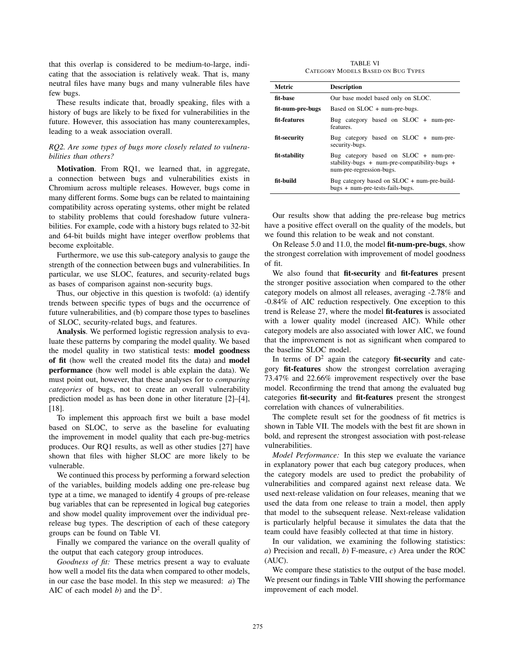that this overlap is considered to be medium-to-large, indicating that the association is relatively weak. That is, many neutral files have many bugs and many vulnerable files have few bugs.

These results indicate that, broadly speaking, files with a history of bugs are likely to be fixed for vulnerabilities in the future. However, this association has many counterexamples, leading to a weak association overall.

## *RQ2. Are some types of bugs more closely related to vulnerabilities than others?*

Motivation. From RQ1, we learned that, in aggregate, a connection between bugs and vulnerabilities exists in Chromium across multiple releases. However, bugs come in many different forms. Some bugs can be related to maintaining compatibility across operating systems, other might be related to stability problems that could foreshadow future vulnerabilities. For example, code with a history bugs related to 32-bit and 64-bit builds might have integer overflow problems that become exploitable.

Furthermore, we use this sub-category analysis to gauge the strength of the connection between bugs and vulnerabilities. In particular, we use SLOC, features, and security-related bugs as bases of comparison against non-security bugs.

Thus, our objective in this question is twofold: (a) identify trends between specific types of bugs and the occurrence of future vulnerabilities, and (b) compare those types to baselines of SLOC, security-related bugs, and features.

Analysis. We performed logistic regression analysis to evaluate these patterns by comparing the model quality. We based the model quality in two statistical tests: model goodness of fit (how well the created model fits the data) and model performance (how well model is able explain the data). We must point out, however, that these analyses for to *comparing categories* of bugs, not to create an overall vulnerability prediction model as has been done in other literature [2]–[4], [18].

To implement this approach first we built a base model based on SLOC, to serve as the baseline for evaluating the improvement in model quality that each pre-bug-metrics produces. Our RQ1 results, as well as other studies [27] have shown that files with higher SLOC are more likely to be vulnerable.

We continued this process by performing a forward selection of the variables, building models adding one pre-release bug type at a time, we managed to identify 4 groups of pre-release bug variables that can be represented in logical bug categories and show model quality improvement over the individual prerelease bug types. The description of each of these category groups can be found on Table VI.

Finally we compared the variance on the overall quality of the output that each category group introduces.

*Goodness of fit:* These metrics present a way to evaluate how well a model fits the data when compared to other models, in our case the base model. In this step we measured: *a*) The AIC of each model *b*) and the  $D^2$ .

TABLE VI CATEGORY MODELS BASED ON BUG TYPES

| <b>Metric</b>    | <b>Description</b>                                                                                                       |  |  |  |
|------------------|--------------------------------------------------------------------------------------------------------------------------|--|--|--|
| fit-base         | Our base model based only on SLOC.                                                                                       |  |  |  |
| fit-num-pre-bugs | Based on $SLOC + num-pre-bugs$ .                                                                                         |  |  |  |
| fit-features     | Bug category based on SLOC + num-pre-<br><b>features</b>                                                                 |  |  |  |
| fit-security     | Bug category based on $SLOC + num-pre-$<br>security-bugs.                                                                |  |  |  |
| fit-stability    | Bug category based on $SLOC + num-pre-$<br>stability-bugs $+$ num-pre-compatibility-bugs $+$<br>num-pre-regression-bugs. |  |  |  |
| fit-build        | Bug category based on $SLOC + num-pre-build -$<br>bugs + num-pre-tests-fails-bugs.                                       |  |  |  |

Our results show that adding the pre-release bug metrics have a positive effect overall on the quality of the models, but we found this relation to be weak and not constant.

On Release 5.0 and 11.0, the model fit-num-pre-bugs, show the strongest correlation with improvement of model goodness of fit.

We also found that fit-security and fit-features present the stronger positive association when compared to the other category models on almost all releases, averaging -2.78% and -0.84% of AIC reduction respectively. One exception to this trend is Release 27, where the model fit-features is associated with a lower quality model (increased AIC). While other category models are also associated with lower AIC, we found that the improvement is not as significant when compared to the baseline SLOC model.

In terms of  $D^2$  again the category fit-security and category **fit-features** show the strongest correlation averaging 73.47% and 22.66% improvement respectively over the base model. Reconfirming the trend that among the evaluated bug categories fit-security and fit-features present the strongest correlation with chances of vulnerabilities.

The complete result set for the goodness of fit metrics is shown in Table VII. The models with the best fit are shown in bold, and represent the strongest association with post-release vulnerabilities.

*Model Performance:* In this step we evaluate the variance in explanatory power that each bug category produces, when the category models are used to predict the probability of vulnerabilities and compared against next release data. We used next-release validation on four releases, meaning that we used the data from one release to train a model, then apply that model to the subsequent release. Next-release validation is particularly helpful because it simulates the data that the team could have feasibly collected at that time in history.

In our validation, we examining the following statistics: *a*) Precision and recall, *b*) F-measure, *c*) Area under the ROC (AUC).

We compare these statistics to the output of the base model. We present our findings in Table VIII showing the performance improvement of each model.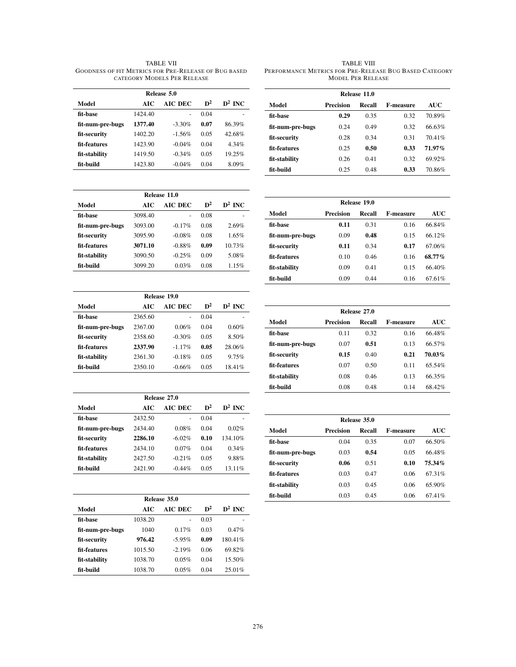TABLE VII GOODNESS OF FIT METRICS FOR PRE-RELEASE OF BUG BASED CATEGORY MODELS PER RELEASE

| Release 5.0      |         |          |                |           |  |
|------------------|---------|----------|----------------|-----------|--|
| Model            | AIC     | AIC DEC  | $\mathbf{D}^2$ | $D^2$ INC |  |
| fit-base         | 1424 40 |          | 0.04           |           |  |
| fit-num-pre-bugs | 1377.40 | $-3.30%$ | 0.07           | 86.39%    |  |
| fit-security     | 1402.20 | $-1.56%$ | 0.05           | $42.68\%$ |  |
| fit-features     | 1423.90 | $-0.04%$ | 0.04           | 4.34%     |  |
| fit-stability    | 1419.50 | $-0.34%$ | 0.05           | 1925%     |  |
| fit-build        | 1423.80 | $-0.04%$ | 0.04           | $8.09\%$  |  |

| Release 11.0     |         |          |                |           |  |  |
|------------------|---------|----------|----------------|-----------|--|--|
| Model            | AIC.    | AIC DEC  | $\mathbf{D}^2$ | $D^2$ INC |  |  |
| fit-hase         | 3098.40 |          | 0.08           |           |  |  |
| fit-num-pre-bugs | 3093.00 | $-0.17%$ | 0.08           | 2.69%     |  |  |
| fit-security     | 3095.90 | $-0.08%$ | 0.08           | 1.65%     |  |  |
| fit-features     | 3071.10 | $-0.88%$ | 0.09           | 1073%     |  |  |
| fit-stability    | 3090.50 | $-0.25%$ | 0.09           | 5.08%     |  |  |
| fit-build        | 3099.20 | 0.03%    | 0.08           | 1.15%     |  |  |

| Release 19.0     |         |          |                |           |  |
|------------------|---------|----------|----------------|-----------|--|
| Model            | AIC.    | AIC DEC  | $\mathbf{D}^2$ | $D^2$ INC |  |
| fit-hase         | 2365.60 |          | 0.04           |           |  |
| fit-num-pre-bugs | 2367.00 | 0.06%    | 0.04           | 0.60%     |  |
| fit-security     | 2358.60 | $-0.30%$ | 0.05           | 8.50%     |  |
| fit-features     | 2337.90 | $-1.17%$ | 0.05           | 28.06%    |  |
| fit-stability    | 2361.30 | $-0.18%$ | 0.05           | 975%      |  |
| fit-build        | 2350.10 | $-0.66%$ | 0.05           | 18.41%    |  |

| Release 27.0     |         |           |                |           |  |
|------------------|---------|-----------|----------------|-----------|--|
| Model            | AIC.    | AIC DEC   | $\mathbf{D}^2$ | $D^2$ INC |  |
| fit-hase         | 2432.50 | ۰         | 0.04           |           |  |
| fit-num-pre-bugs | 2434.40 | 0.08%     | 0.04           | 0.02%     |  |
| fit-security     | 2286.10 | $-6.02\%$ | 0.10           | 134.10%   |  |
| fit-features     | 2434 10 | 0.07%     | 0.04           | 0.34%     |  |
| fit-stability    | 2427.50 | $-0.21%$  | 0.05           | 9.88%     |  |
| fit-build        | 2421.90 | $-0.44%$  | 0.05           | 13.11%    |  |

| Release 35.0     |         |                |                |           |  |  |
|------------------|---------|----------------|----------------|-----------|--|--|
| Model            | AIC.    | <b>AIC DEC</b> | $\mathbf{D}^2$ | $D^2$ INC |  |  |
| fit-hase         | 1038.20 |                | 0.03           |           |  |  |
| fit-num-pre-bugs | 1040    | 0.17%          | 0.03           | 0.47%     |  |  |
| fit-security     | 976.42  | $-5.95%$       | 0.09           | 180.41%   |  |  |
| fit-features     | 1015.50 | $-2.19%$       | 0.06           | 69.82%    |  |  |
| fit-stability    | 1038.70 | 0.05%          | 0.04           | 15.50%    |  |  |
| fit-build        | 1038.70 | 0.05%          | 0.04           | 25.01%    |  |  |

TABLE VIII PERFORMANCE METRICS FOR PRE-RELEASE BUG BASED CATEGORY MODEL PER RELEASE

| Release 11.0     |           |        |           |           |  |  |
|------------------|-----------|--------|-----------|-----------|--|--|
| Model            | Precision | Recall | F-measure | AUC       |  |  |
| fit-base         | 0.29      | 0.35   | 0.32      | 70.89%    |  |  |
| fit-num-pre-bugs | 0.24      | 0.49   | 0.32      | 66.63%    |  |  |
| fit-security     | 0.28      | 0.34   | 0.31      | 7041%     |  |  |
| fit-features     | 0.25      | 0.50   | 0.33      | $71.97\%$ |  |  |
| fit-stability    | 0.26      | 0.41   | 0.32      | 69.92%    |  |  |
| fit-build        | 0.25      | 0.48   | 0.33      | 70.86%    |  |  |

| Release 19.0     |           |        |           |            |
|------------------|-----------|--------|-----------|------------|
| Model            | Precision | Recall | F-measure | <b>AUC</b> |
| fit-hase         | 0.11      | 0.31   | 0.16      | 66 84%     |
| fit-num-pre-bugs | 0.09      | 0.48   | 0.15      | 66 12%     |
| fit-security     | 0.11      | 0.34   | 0.17      | 67.06%     |
| fit-features     | 010       | 046    | 0.16      | $68.77\%$  |
| fit-stability    | 0.09      | 041    | 0.15      | 66 40%     |
| fit-build        | 0.09      | 0.44   | 0.16      | 67.61%     |

| Release 27.0     |           |        |           |            |  |
|------------------|-----------|--------|-----------|------------|--|
| Model            | Precision | Recall | F-measure | <b>AUC</b> |  |
| fit-base         | 011       | 0.32   | 0.16      | 6648%      |  |
| fit-num-pre-bugs | 0.07      | 0.51   | 0.13      | 66 57%     |  |
| fit-security     | 0.15      | 0.40   | 0.21      | 70.03%     |  |
| fit-features     | 0.07      | 0.50   | 011       | 65.54%     |  |
| fit-stability    | 0.08      | 046    | 0.13      | 66.35%     |  |
| fit-build        | 0.08      | 0.48   | 0.14      | 68.42%     |  |

| Release 35.0     |           |        |           |            |  |
|------------------|-----------|--------|-----------|------------|--|
| Model            | Precision | Recall | F-measure | <b>AUC</b> |  |
| fit-base         | 0.04      | 0.35   | 0.07      | 66.50%     |  |
| fit-num-pre-bugs | 0.03      | 0.54   | 0.05      | 6648%      |  |
| fit-security     | 0.06      | 0.51   | 0.10      | 75.34%     |  |
| fit-features     | 0.03      | 0.47   | 0.06      | 6731%      |  |
| fit-stability    | 0.03      | 0.45   | 0.06      | 6590%      |  |
| fit-build        | 0.03      | 0.45   | 0.06      | 6741%      |  |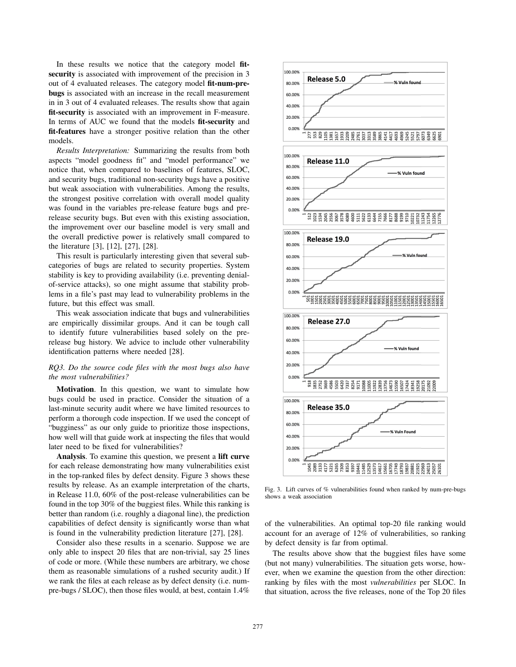In these results we notice that the category model fitsecurity is associated with improvement of the precision in 3 out of 4 evaluated releases. The category model fit-num-prebugs is associated with an increase in the recall measurement in in 3 out of 4 evaluated releases. The results show that again fit-security is associated with an improvement in F-measure. In terms of AUC we found that the models fit-security and fit-features have a stronger positive relation than the other models.

*Results Interpretation:* Summarizing the results from both aspects "model goodness fit" and "model performance" we notice that, when compared to baselines of features, SLOC, and security bugs, traditional non-security bugs have a positive but weak association with vulnerabilities. Among the results, the strongest positive correlation with overall model quality was found in the variables pre-release feature bugs and prerelease security bugs. But even with this existing association, the improvement over our baseline model is very small and the overall predictive power is relatively small compared to the literature [3], [12], [27], [28].

This result is particularly interesting given that several subcategories of bugs are related to security properties. System stability is key to providing availability (i.e. preventing denialof-service attacks), so one might assume that stability problems in a file's past may lead to vulnerability problems in the future, but this effect was small.

This weak association indicate that bugs and vulnerabilities are empirically dissimilar groups. And it can be tough call to identify future vulnerabilities based solely on the prerelease bug history. We advice to include other vulnerability identification patterns where needed [28].

## *RQ3. Do the source code files with the most bugs also have the most vulnerabilities?*

Motivation. In this question, we want to simulate how bugs could be used in practice. Consider the situation of a last-minute security audit where we have limited resources to perform a thorough code inspection. If we used the concept of "bugginess" as our only guide to prioritize those inspections, how well will that guide work at inspecting the files that would later need to be fixed for vulnerabilities?

Analysis. To examine this question, we present a lift curve for each release demonstrating how many vulnerabilities exist in the top-ranked files by defect density. Figure 3 shows these results by release. As an example interpretation of the charts, in Release 11.0, 60% of the post-release vulnerabilities can be found in the top 30% of the buggiest files. While this ranking is better than random (i.e. roughly a diagonal line), the prediction capabilities of defect density is significantly worse than what is found in the vulnerability prediction literature [27], [28].

Consider also these results in a scenario. Suppose we are only able to inspect 20 files that are non-trivial, say 25 lines of code or more. (While these numbers are arbitrary, we chose them as reasonable simulations of a rushed security audit.) If we rank the files at each release as by defect density (i.e. numpre-bugs / SLOC), then those files would, at best, contain 1.4%



Fig. 3. Lift curves of % vulnerabilities found when ranked by num-pre-bugs shows a weak association

of the vulnerabilities. An optimal top-20 file ranking would account for an average of 12% of vulnerabilities, so ranking by defect density is far from optimal.

The results above show that the buggiest files have some (but not many) vulnerabilities. The situation gets worse, however, when we examine the question from the other direction: ranking by files with the most *vulnerabilities* per SLOC. In that situation, across the five releases, none of the Top 20 files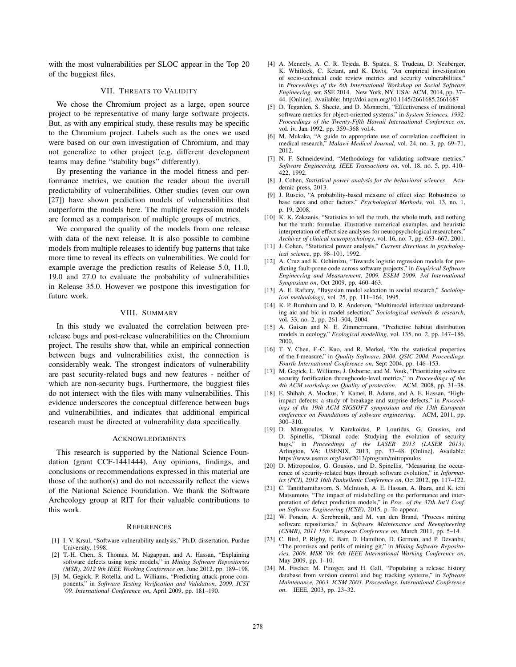with the most vulnerabilities per SLOC appear in the Top 20 of the buggiest files.

#### VII. THREATS TO VALIDITY

We chose the Chromium project as a large, open source project to be representative of many large software projects. But, as with any empirical study, these results may be specific to the Chromium project. Labels such as the ones we used were based on our own investigation of Chromium, and may not generalize to other project (e.g. different development teams may define "stability bugs" differently).

By presenting the variance in the model fitness and performance metrics, we caution the reader about the overall predictability of vulnerabilities. Other studies (even our own [27]) have shown prediction models of vulnerabilities that outperform the models here. The multiple regression models are formed as a comparison of multiple groups of metrics.

We compared the quality of the models from one release with data of the next release. It is also possible to combine models from multiple releases to identify bug patterns that take more time to reveal its effects on vulnerabilities. We could for example average the prediction results of Release 5.0, 11.0, 19.0 and 27.0 to evaluate the probability of vulnerabilities in Release 35.0. However we postpone this investigation for future work.

#### VIII. SUMMARY

In this study we evaluated the correlation between prerelease bugs and post-release vulnerabilities on the Chromium project. The results show that, while an empirical connection between bugs and vulnerabilities exist, the connection is considerably weak. The strongest indicators of vulnerability are past security-related bugs and new features - neither of which are non-security bugs. Furthermore, the buggiest files do not intersect with the files with many vulnerabilities. This evidence underscores the conceptual difference between bugs and vulnerabilities, and indicates that additional empirical research must be directed at vulnerability data specifically.

#### ACKNOWLEDGMENTS

This research is supported by the National Science Foundation (grant CCF-1441444). Any opinions, findings, and conclusions or recommendations expressed in this material are those of the author(s) and do not necessarily reflect the views of the National Science Foundation. We thank the Software Archeology group at RIT for their valuable contributions to this work.

#### **REFERENCES**

- [1] I. V. Krsul, "Software vulnerability analysis," Ph.D. dissertation, Purdue University, 1998.
- T.-H. Chen, S. Thomas, M. Nagappan, and A. Hassan, "Explaining software defects using topic models," in *Mining Software Repositories (MSR), 2012 9th IEEE Working Conference on*, June 2012, pp. 189–198.
- [3] M. Gegick, P. Rotella, and L. Williams, "Predicting attack-prone components," in *Software Testing Verification and Validation, 2009. ICST '09. International Conference on*, April 2009, pp. 181–190.
- [4] A. Meneely, A. C. R. Tejeda, B. Spates, S. Trudeau, D. Neuberger, K. Whitlock, C. Ketant, and K. Davis, "An empirical investigation of socio-technical code review metrics and security vulnerabilities," in *Proceedings of the 6th International Workshop on Social Software Engineering*, ser. SSE 2014. New York, NY, USA: ACM, 2014, pp. 37– 44. [Online]. Available: http://doi.acm.org/10.1145/2661685.2661687
- [5] D. Tegarden, S. Sheetz, and D. Monarchi, "Effectiveness of traditional software metrics for object-oriented systems," in *System Sciences, 1992. Proceedings of the Twenty-Fifth Hawaii International Conference on*, vol. iv, Jan 1992, pp. 359–368 vol.4.
- [6] M. Mukaka, "A guide to appropriate use of correlation coefficient in medical research," *Malawi Medical Journal*, vol. 24, no. 3, pp. 69–71, 2012.
- [7] N. F. Schneidewind, "Methodology for validating software metrics," *Software Engineering, IEEE Transactions on*, vol. 18, no. 5, pp. 410– 422, 1992.
- [8] J. Cohen, *Statistical power analysis for the behavioral sciences*. Academic press, 2013.
- [9] J. Ruscio, "A probability-based measure of effect size: Robustness to base rates and other factors." *Psychological Methods*, vol. 13, no. 1, p. 19, 2008.
- [10] K. K. Zakzanis, "Statistics to tell the truth, the whole truth, and nothing but the truth: formulae, illustrative numerical examples, and heuristic interpretation of effect size analyses for neuropsychological researchers,' *Archives of clinical neuropsychology*, vol. 16, no. 7, pp. 653–667, 2001.
- [11] J. Cohen, "Statistical power analysis," *Current directions in psychological science*, pp. 98–101, 1992.
- [12] A. Cruz and K. Ochimizu, "Towards logistic regression models for predicting fault-prone code across software projects," in *Empirical Software Engineering and Measurement, 2009. ESEM 2009. 3rd International Symposium on*, Oct 2009, pp. 460–463.
- [13] A. E. Raftery, "Bayesian model selection in social research," *Sociological methodology*, vol. 25, pp. 111–164, 1995.
- [14] K. P. Burnham and D. R. Anderson, "Multimodel inference understanding aic and bic in model selection," *Sociological methods & research*, vol. 33, no. 2, pp. 261–304, 2004.
- [15] A. Guisan and N. E. Zimmermann, "Predictive habitat distribution models in ecology," *Ecological modelling*, vol. 135, no. 2, pp. 147–186, 2000.
- [16] T. Y. Chen, F.-C. Kuo, and R. Merkel, "On the statistical properties of the f-measure," in *Quality Software, 2004. QSIC 2004. Proceedings. Fourth International Conference on*, Sept 2004, pp. 146–153.
- [17] M. Gegick, L. Williams, J. Osborne, and M. Vouk, "Prioritizing software security fortification throughcode-level metrics," in *Proceedings of the 4th ACM workshop on Quality of protection*. ACM, 2008, pp. 31–38.
- [18] E. Shihab, A. Mockus, Y. Kamei, B. Adams, and A. E. Hassan, "Highimpact defects: a study of breakage and surprise defects," in *Proceedings of the 19th ACM SIGSOFT symposium and the 13th European conference on Foundations of software engineering*. ACM, 2011, pp. 300–310.
- [19] D. Mitropoulos, V. Karakoidas, P. Louridas, G. Gousios, and D. Spinellis, "Dismal code: Studying the evolution of security bugs," in *Proceedings of the LASER 2013 (LASER 2013)*. Arlington, VA: USENIX, 2013, pp. 37–48. [Online]. Available: https://www.usenix.org/laser2013/program/mitropoulos
- [20] D. Mitropoulos, G. Gousios, and D. Spinellis, "Measuring the occurrence of security-related bugs through software evolution," in *Informatics (PCI), 2012 16th Panhellenic Conference on*, Oct 2012, pp. 117–122.
- [21] C. Tantithamthavorn, S. McIntosh, A. E. Hassan, A. Ihara, and K. ichi Matsumoto, "The impact of mislabelling on the performance and interpretation of defect prediction models," in *Proc. of the 37th Int'l Conf. on Software Engineering (ICSE)*, 2015, p. To appear.
- [22] W. Poncin, A. Serebrenik, and M. van den Brand, "Process mining software repositories," in *Software Maintenance and Reengineering (CSMR), 2011 15th European Conference on*, March 2011, pp. 5–14.
- [23] C. Bird, P. Rigby, E. Barr, D. Hamilton, D. German, and P. Devanbu, "The promises and perils of mining git," in *Mining Software Repositories, 2009. MSR '09. 6th IEEE International Working Conference on*, May 2009, pp. 1–10.
- [24] M. Fischer, M. Pinzger, and H. Gall, "Populating a release history database from version control and bug tracking systems," in *Software Maintenance, 2003. ICSM 2003. Proceedings. International Conference on*. IEEE, 2003, pp. 23–32.